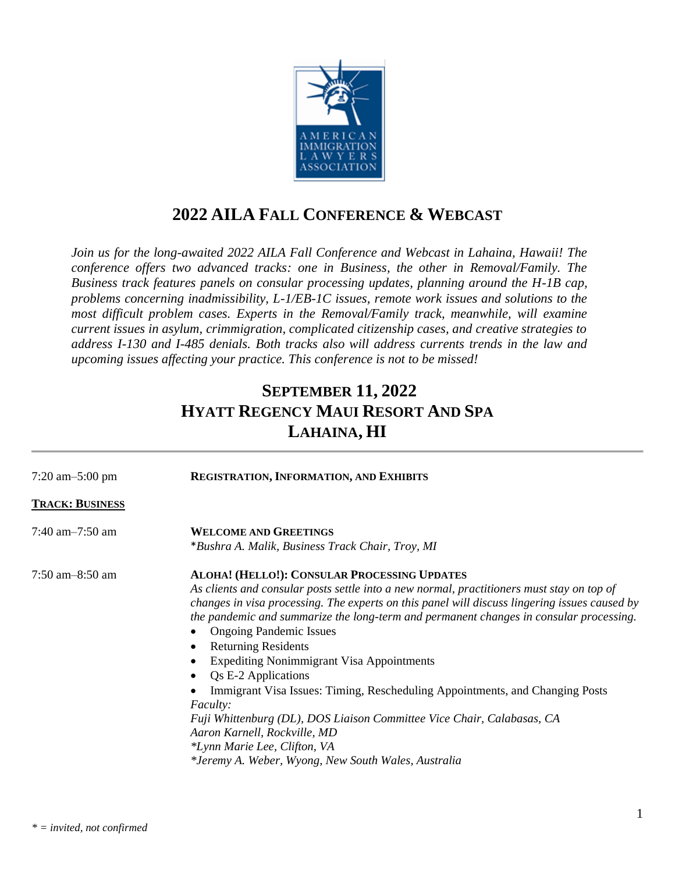

## **2022 AILA FALL CONFERENCE & WEBCAST**

*Join us for the long-awaited 2022 AILA Fall Conference and Webcast in Lahaina, Hawaii! The conference offers two advanced tracks: one in Business, the other in Removal/Family. The Business track features panels on consular processing updates, planning around the H-1B cap, problems concerning inadmissibility, L-1/EB-1C issues, remote work issues and solutions to the most difficult problem cases. Experts in the Removal/Family track, meanwhile, will examine current issues in asylum, crimmigration, complicated citizenship cases, and creative strategies to address I-130 and I-485 denials. Both tracks also will address currents trends in the law and upcoming issues affecting your practice. This conference is not to be missed!*

## **SEPTEMBER 11, 2022 HYATT REGENCY MAUI RESORT AND SPA LAHAINA, HI**

| $7:20$ am $-5:00$ pm   | <b>REGISTRATION, INFORMATION, AND EXHIBITS</b>                                                                                                                                                                                                                                                                                                                                                                                                                                                                                                                                                                                                                                                                                                                                      |
|------------------------|-------------------------------------------------------------------------------------------------------------------------------------------------------------------------------------------------------------------------------------------------------------------------------------------------------------------------------------------------------------------------------------------------------------------------------------------------------------------------------------------------------------------------------------------------------------------------------------------------------------------------------------------------------------------------------------------------------------------------------------------------------------------------------------|
| <b>TRACK: BUSINESS</b> |                                                                                                                                                                                                                                                                                                                                                                                                                                                                                                                                                                                                                                                                                                                                                                                     |
| 7:40 am $-7:50$ am     | <b>WELCOME AND GREETINGS</b><br>*Bushra A. Malik, Business Track Chair, Troy, MI                                                                                                                                                                                                                                                                                                                                                                                                                                                                                                                                                                                                                                                                                                    |
| $7:50$ am $-8:50$ am   | ALOHA! (HELLO!): CONSULAR PROCESSING UPDATES<br>As clients and consular posts settle into a new normal, practitioners must stay on top of<br>changes in visa processing. The experts on this panel will discuss lingering issues caused by<br>the pandemic and summarize the long-term and permanent changes in consular processing.<br><b>Ongoing Pandemic Issues</b><br><b>Returning Residents</b><br><b>Expediting Nonimmigrant Visa Appointments</b><br>Qs E-2 Applications<br>Immigrant Visa Issues: Timing, Rescheduling Appointments, and Changing Posts<br><i>Faculty:</i><br>Fuji Whittenburg (DL), DOS Liaison Committee Vice Chair, Calabasas, CA<br>Aaron Karnell, Rockville, MD<br>*Lynn Marie Lee, Clifton, VA<br>*Jeremy A. Weber, Wyong, New South Wales, Australia |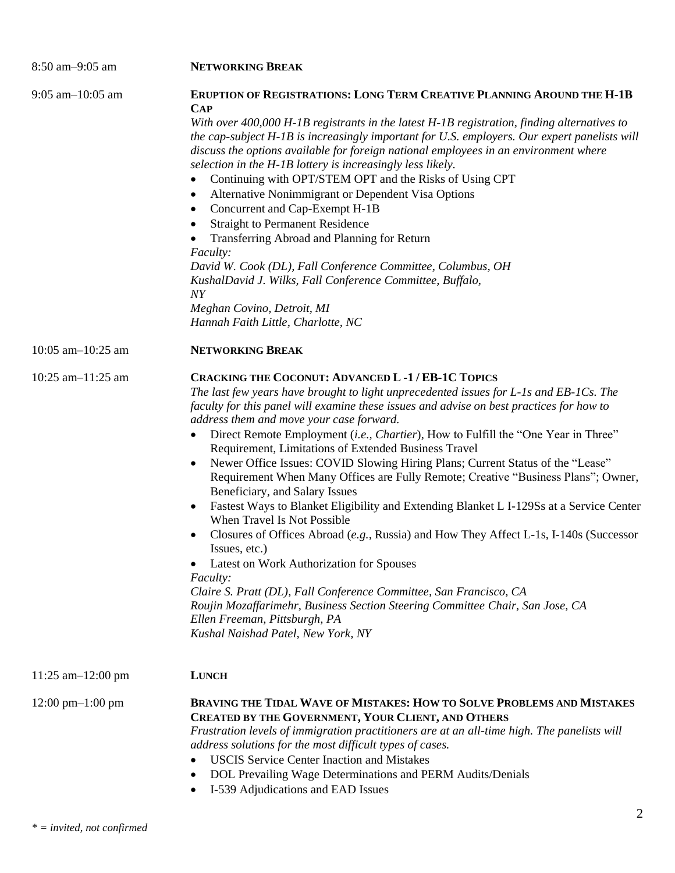| 8:50 am-9:05 am                      | <b>NETWORKING BREAK</b>                                                                                                                                                                                                                                                                                                                                                                                                                                                                                                                                                                                                                                                                                                                                                                                                                                                                                                                                                                                                                                                                                                                                                       |
|--------------------------------------|-------------------------------------------------------------------------------------------------------------------------------------------------------------------------------------------------------------------------------------------------------------------------------------------------------------------------------------------------------------------------------------------------------------------------------------------------------------------------------------------------------------------------------------------------------------------------------------------------------------------------------------------------------------------------------------------------------------------------------------------------------------------------------------------------------------------------------------------------------------------------------------------------------------------------------------------------------------------------------------------------------------------------------------------------------------------------------------------------------------------------------------------------------------------------------|
| $9:05$ am $-10:05$ am                | <b>ERUPTION OF REGISTRATIONS: LONG TERM CREATIVE PLANNING AROUND THE H-1B</b><br><b>CAP</b><br>With over $400,000$ H-1B registrants in the latest H-1B registration, finding alternatives to<br>the cap-subject H-1B is increasingly important for U.S. employers. Our expert panelists will<br>discuss the options available for foreign national employees in an environment where<br>selection in the H-1B lottery is increasingly less likely.<br>Continuing with OPT/STEM OPT and the Risks of Using CPT<br>Alternative Nonimmigrant or Dependent Visa Options<br>٠<br>Concurrent and Cap-Exempt H-1B<br>٠<br><b>Straight to Permanent Residence</b><br>$\bullet$<br>Transferring Abroad and Planning for Return<br>Faculty:<br>David W. Cook (DL), Fall Conference Committee, Columbus, OH<br>KushalDavid J. Wilks, Fall Conference Committee, Buffalo,<br>$\overline{N}Y$<br>Meghan Covino, Detroit, MI<br>Hannah Faith Little, Charlotte, NC                                                                                                                                                                                                                          |
| 10:05 am $-10:25$ am                 | <b>NETWORKING BREAK</b>                                                                                                                                                                                                                                                                                                                                                                                                                                                                                                                                                                                                                                                                                                                                                                                                                                                                                                                                                                                                                                                                                                                                                       |
| 10:25 am $-11:25$ am                 | <b>CRACKING THE COCONUT: ADVANCED L-1/EB-1C TOPICS</b><br>The last few years have brought to light unprecedented issues for L-1s and EB-1Cs. The<br>faculty for this panel will examine these issues and advise on best practices for how to<br>address them and move your case forward.<br>Direct Remote Employment (i.e., Chartier), How to Fulfill the "One Year in Three"<br>٠<br>Requirement, Limitations of Extended Business Travel<br>Newer Office Issues: COVID Slowing Hiring Plans; Current Status of the "Lease"<br>Requirement When Many Offices are Fully Remote; Creative "Business Plans"; Owner,<br>Beneficiary, and Salary Issues<br>Fastest Ways to Blanket Eligibility and Extending Blanket L I-129Ss at a Service Center<br>When Travel Is Not Possible<br>Closures of Offices Abroad (e.g., Russia) and How They Affect L-1s, I-140s (Successor<br>Issues, etc.)<br>Latest on Work Authorization for Spouses<br>Faculty:<br>Claire S. Pratt (DL), Fall Conference Committee, San Francisco, CA<br>Roujin Mozaffarimehr, Business Section Steering Committee Chair, San Jose, CA<br>Ellen Freeman, Pittsburgh, PA<br>Kushal Naishad Patel, New York, NY |
| $11:25$ am $-12:00$ pm               | <b>LUNCH</b>                                                                                                                                                                                                                                                                                                                                                                                                                                                                                                                                                                                                                                                                                                                                                                                                                                                                                                                                                                                                                                                                                                                                                                  |
| $12:00 \text{ pm} - 1:00 \text{ pm}$ | BRAVING THE TIDAL WAVE OF MISTAKES: HOW TO SOLVE PROBLEMS AND MISTAKES<br>CREATED BY THE GOVERNMENT, YOUR CLIENT, AND OTHERS<br>Frustration levels of immigration practitioners are at an all-time high. The panelists will<br>address solutions for the most difficult types of cases.<br><b>USCIS Service Center Inaction and Mistakes</b><br>DOL Prevailing Wage Determinations and PERM Audits/Denials<br>I-539 Adjudications and EAD Issues<br>٠                                                                                                                                                                                                                                                                                                                                                                                                                                                                                                                                                                                                                                                                                                                         |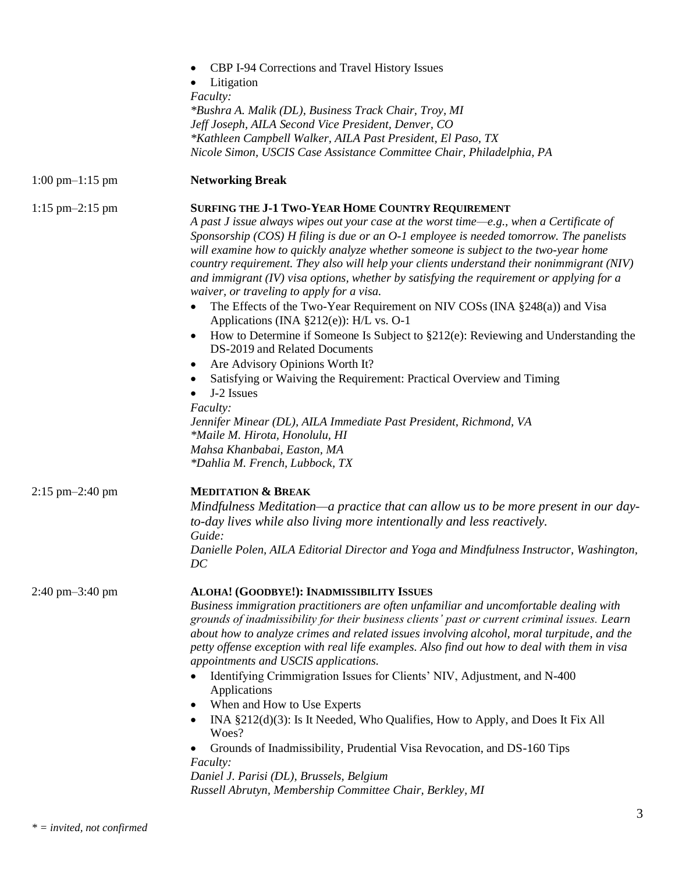|                                     | <b>CBP I-94 Corrections and Travel History Issues</b>                                                                                                                                                                                                                                                                                                                                                                                                                                                                                                                                                                                                                                                                                                                                                                                                                                                                                                                                                                                                                                                                                  |
|-------------------------------------|----------------------------------------------------------------------------------------------------------------------------------------------------------------------------------------------------------------------------------------------------------------------------------------------------------------------------------------------------------------------------------------------------------------------------------------------------------------------------------------------------------------------------------------------------------------------------------------------------------------------------------------------------------------------------------------------------------------------------------------------------------------------------------------------------------------------------------------------------------------------------------------------------------------------------------------------------------------------------------------------------------------------------------------------------------------------------------------------------------------------------------------|
|                                     | Litigation                                                                                                                                                                                                                                                                                                                                                                                                                                                                                                                                                                                                                                                                                                                                                                                                                                                                                                                                                                                                                                                                                                                             |
|                                     | Faculty:                                                                                                                                                                                                                                                                                                                                                                                                                                                                                                                                                                                                                                                                                                                                                                                                                                                                                                                                                                                                                                                                                                                               |
|                                     | *Bushra A. Malik (DL), Business Track Chair, Troy, MI                                                                                                                                                                                                                                                                                                                                                                                                                                                                                                                                                                                                                                                                                                                                                                                                                                                                                                                                                                                                                                                                                  |
|                                     | Jeff Joseph, AILA Second Vice President, Denver, CO                                                                                                                                                                                                                                                                                                                                                                                                                                                                                                                                                                                                                                                                                                                                                                                                                                                                                                                                                                                                                                                                                    |
|                                     | *Kathleen Campbell Walker, AILA Past President, El Paso, TX                                                                                                                                                                                                                                                                                                                                                                                                                                                                                                                                                                                                                                                                                                                                                                                                                                                                                                                                                                                                                                                                            |
|                                     | Nicole Simon, USCIS Case Assistance Committee Chair, Philadelphia, PA                                                                                                                                                                                                                                                                                                                                                                                                                                                                                                                                                                                                                                                                                                                                                                                                                                                                                                                                                                                                                                                                  |
| $1:00 \text{ pm} - 1:15 \text{ pm}$ | <b>Networking Break</b>                                                                                                                                                                                                                                                                                                                                                                                                                                                                                                                                                                                                                                                                                                                                                                                                                                                                                                                                                                                                                                                                                                                |
| $1:15$ pm $-2:15$ pm                | SURFING THE J-1 TWO-YEAR HOME COUNTRY REQUIREMENT<br>A past J issue always wipes out your case at the worst time—e.g., when a Certificate of<br>Sponsorship $(COS)$ H filing is due or an $O-1$ employee is needed tomorrow. The panelists<br>will examine how to quickly analyze whether someone is subject to the two-year home<br>country requirement. They also will help your clients understand their nonimmigrant (NIV)<br>and immigrant $(IV)$ visa options, whether by satisfying the requirement or applying for a<br>waiver, or traveling to apply for a visa.<br>The Effects of the Two-Year Requirement on NIV COSs (INA §248(a)) and Visa<br>Applications (INA §212(e)): H/L vs. O-1<br>How to Determine if Someone Is Subject to §212(e): Reviewing and Understanding the<br>DS-2019 and Related Documents<br>Are Advisory Opinions Worth It?<br>Satisfying or Waiving the Requirement: Practical Overview and Timing<br>J-2 Issues<br>Faculty:<br>Jennifer Minear (DL), AILA Immediate Past President, Richmond, VA<br>*Maile M. Hirota, Honolulu, HI<br>Mahsa Khanbabai, Easton, MA<br>*Dahlia M. French, Lubbock, TX |
| $2:15$ pm $-2:40$ pm                | <b>MEDITATION &amp; BREAK</b>                                                                                                                                                                                                                                                                                                                                                                                                                                                                                                                                                                                                                                                                                                                                                                                                                                                                                                                                                                                                                                                                                                          |
|                                     | Mindfulness Meditation—a practice that can allow us to be more present in our day-<br>to-day lives while also living more intentionally and less reactively.                                                                                                                                                                                                                                                                                                                                                                                                                                                                                                                                                                                                                                                                                                                                                                                                                                                                                                                                                                           |
|                                     | Guide:<br>Danielle Polen, AILA Editorial Director and Yoga and Mindfulness Instructor, Washington,<br>DC                                                                                                                                                                                                                                                                                                                                                                                                                                                                                                                                                                                                                                                                                                                                                                                                                                                                                                                                                                                                                               |
| $2:40 \text{ pm} - 3:40 \text{ pm}$ | ALOHA! (GOODBYE!): INADMISSIBILITY ISSUES<br>Business immigration practitioners are often unfamiliar and uncomfortable dealing with<br>grounds of inadmissibility for their business clients' past or current criminal issues. Learn<br>about how to analyze crimes and related issues involving alcohol, moral turpitude, and the<br>petty offense exception with real life examples. Also find out how to deal with them in visa<br>appointments and USCIS applications.<br>Identifying Crimmigration Issues for Clients' NIV, Adjustment, and N-400<br>Applications<br>When and How to Use Experts<br>INA §212(d)(3): Is It Needed, Who Qualifies, How to Apply, and Does It Fix All<br>Woes?<br>Grounds of Inadmissibility, Prudential Visa Revocation, and DS-160 Tips<br>Faculty:<br>Daniel J. Parisi (DL), Brussels, Belgium<br>Russell Abrutyn, Membership Committee Chair, Berkley, MI                                                                                                                                                                                                                                        |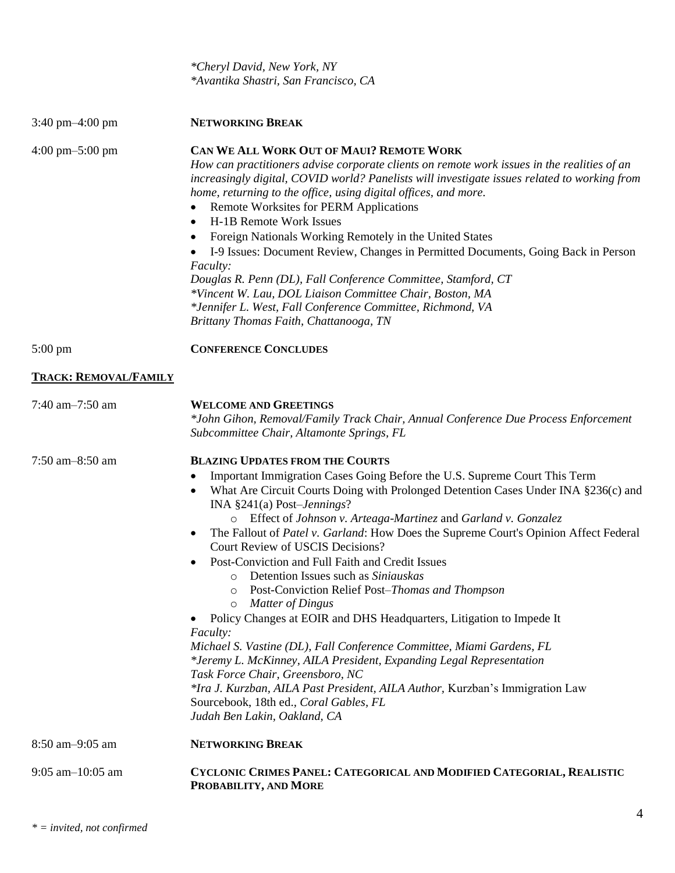|                                     | *Cheryl David, New York, NY<br>*Avantika Shastri, San Francisco, CA                                                                                                                                                                                                                                                                                                                                                                                                                                                                                                                                                                                                                                                                                                                                                                                                                                                                                                                                                                                                                              |
|-------------------------------------|--------------------------------------------------------------------------------------------------------------------------------------------------------------------------------------------------------------------------------------------------------------------------------------------------------------------------------------------------------------------------------------------------------------------------------------------------------------------------------------------------------------------------------------------------------------------------------------------------------------------------------------------------------------------------------------------------------------------------------------------------------------------------------------------------------------------------------------------------------------------------------------------------------------------------------------------------------------------------------------------------------------------------------------------------------------------------------------------------|
| $3:40 \text{ pm} - 4:00 \text{ pm}$ | <b>NETWORKING BREAK</b>                                                                                                                                                                                                                                                                                                                                                                                                                                                                                                                                                                                                                                                                                                                                                                                                                                                                                                                                                                                                                                                                          |
| $4:00 \text{ pm} - 5:00 \text{ pm}$ | CAN WE ALL WORK OUT OF MAUI? REMOTE WORK<br>How can practitioners advise corporate clients on remote work issues in the realities of an<br>increasingly digital, COVID world? Panelists will investigate issues related to working from<br>home, returning to the office, using digital offices, and more.<br>Remote Worksites for PERM Applications<br>٠<br>H-1B Remote Work Issues<br>$\bullet$<br>Foreign Nationals Working Remotely in the United States<br>I-9 Issues: Document Review, Changes in Permitted Documents, Going Back in Person<br><i>Faculty:</i><br>Douglas R. Penn (DL), Fall Conference Committee, Stamford, CT<br>*Vincent W. Lau, DOL Liaison Committee Chair, Boston, MA<br>*Jennifer L. West, Fall Conference Committee, Richmond, VA<br>Brittany Thomas Faith, Chattanooga, TN                                                                                                                                                                                                                                                                                        |
| $5:00 \text{ pm}$                   | <b>CONFERENCE CONCLUDES</b>                                                                                                                                                                                                                                                                                                                                                                                                                                                                                                                                                                                                                                                                                                                                                                                                                                                                                                                                                                                                                                                                      |
| <b>TRACK: REMOVAL/FAMILY</b>        |                                                                                                                                                                                                                                                                                                                                                                                                                                                                                                                                                                                                                                                                                                                                                                                                                                                                                                                                                                                                                                                                                                  |
| 7:40 am-7:50 am                     | <b>WELCOME AND GREETINGS</b><br>*John Gihon, Removal/Family Track Chair, Annual Conference Due Process Enforcement<br>Subcommittee Chair, Altamonte Springs, FL                                                                                                                                                                                                                                                                                                                                                                                                                                                                                                                                                                                                                                                                                                                                                                                                                                                                                                                                  |
| 7:50 am-8:50 am                     | <b>BLAZING UPDATES FROM THE COURTS</b><br>Important Immigration Cases Going Before the U.S. Supreme Court This Term<br>What Are Circuit Courts Doing with Prolonged Detention Cases Under INA §236(c) and<br>INA $§241(a)$ Post- <i>Jennings</i> ?<br>Effect of Johnson v. Arteaga-Martinez and Garland v. Gonzalez<br>$\circ$<br>The Fallout of Patel v. Garland: How Does the Supreme Court's Opinion Affect Federal<br>Court Review of USCIS Decisions?<br>Post-Conviction and Full Faith and Credit Issues<br>Detention Issues such as Siniauskas<br>$\Omega$<br>Post-Conviction Relief Post-Thomas and Thompson<br>$\circ$<br>Matter of Dingus<br>$\circ$<br>Policy Changes at EOIR and DHS Headquarters, Litigation to Impede It<br>Faculty:<br>Michael S. Vastine (DL), Fall Conference Committee, Miami Gardens, FL<br>*Jeremy L. McKinney, AILA President, Expanding Legal Representation<br>Task Force Chair, Greensboro, NC<br>*Ira J. Kurzban, AILA Past President, AILA Author, Kurzban's Immigration Law<br>Sourcebook, 18th ed., Coral Gables, FL<br>Judah Ben Lakin, Oakland, CA |
| 8:50 am-9:05 am                     | <b>NETWORKING BREAK</b>                                                                                                                                                                                                                                                                                                                                                                                                                                                                                                                                                                                                                                                                                                                                                                                                                                                                                                                                                                                                                                                                          |
| $9:05$ am $-10:05$ am               | CYCLONIC CRIMES PANEL: CATEGORICAL AND MODIFIED CATEGORIAL, REALISTIC<br>PROBABILITY, AND MORE                                                                                                                                                                                                                                                                                                                                                                                                                                                                                                                                                                                                                                                                                                                                                                                                                                                                                                                                                                                                   |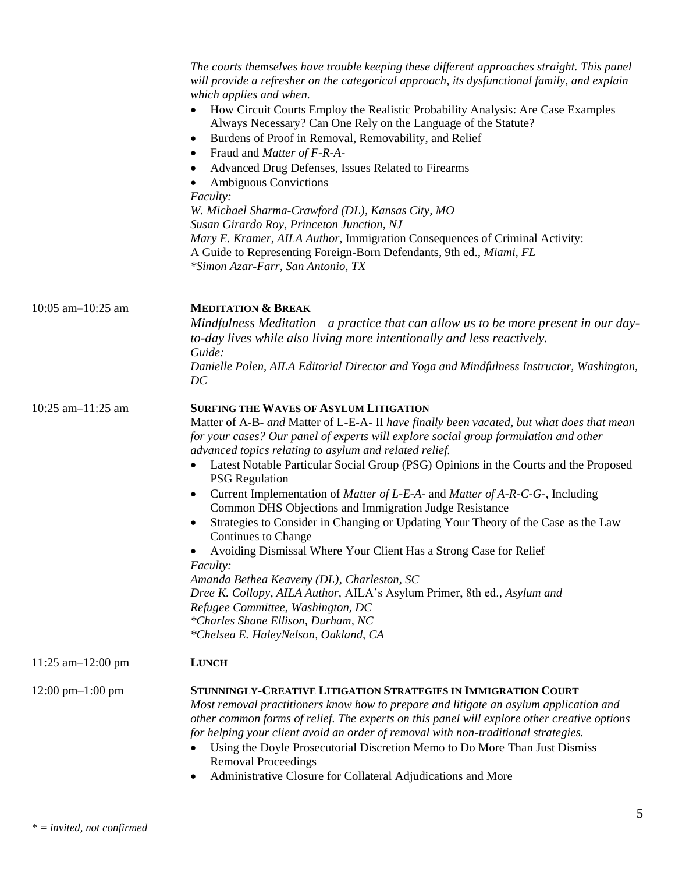|                                      | The courts themselves have trouble keeping these different approaches straight. This panel<br>will provide a refresher on the categorical approach, its dysfunctional family, and explain<br>which applies and when.<br>How Circuit Courts Employ the Realistic Probability Analysis: Are Case Examples<br>Always Necessary? Can One Rely on the Language of the Statute?<br>Burdens of Proof in Removal, Removability, and Relief<br>٠<br>Fraud and <i>Matter of F-R-A-</i><br>٠<br>Advanced Drug Defenses, Issues Related to Firearms<br>$\bullet$<br><b>Ambiguous Convictions</b><br>Faculty:<br>W. Michael Sharma-Crawford (DL), Kansas City, MO<br>Susan Girardo Roy, Princeton Junction, NJ<br>Mary E. Kramer, AILA Author, Immigration Consequences of Criminal Activity:<br>A Guide to Representing Foreign-Born Defendants, 9th ed., Miami, FL<br>*Simon Azar-Farr, San Antonio, TX                                                                                                                                |
|--------------------------------------|-----------------------------------------------------------------------------------------------------------------------------------------------------------------------------------------------------------------------------------------------------------------------------------------------------------------------------------------------------------------------------------------------------------------------------------------------------------------------------------------------------------------------------------------------------------------------------------------------------------------------------------------------------------------------------------------------------------------------------------------------------------------------------------------------------------------------------------------------------------------------------------------------------------------------------------------------------------------------------------------------------------------------------|
| 10:05 am $-10:25$ am                 | <b>MEDITATION &amp; BREAK</b><br>Mindfulness Meditation—a practice that can allow us to be more present in our day-<br>to-day lives while also living more intentionally and less reactively.<br>Guide:<br>Danielle Polen, AILA Editorial Director and Yoga and Mindfulness Instructor, Washington,<br>DC                                                                                                                                                                                                                                                                                                                                                                                                                                                                                                                                                                                                                                                                                                                   |
| 10:25 am $-11:25$ am                 | <b>SURFING THE WAVES OF ASYLUM LITIGATION</b><br>Matter of A-B- and Matter of L-E-A- II have finally been vacated, but what does that mean<br>for your cases? Our panel of experts will explore social group formulation and other<br>advanced topics relating to asylum and related relief.<br>Latest Notable Particular Social Group (PSG) Opinions in the Courts and the Proposed<br><b>PSG</b> Regulation<br>Current Implementation of Matter of L-E-A- and Matter of A-R-C-G-, Including<br>$\bullet$<br>Common DHS Objections and Immigration Judge Resistance<br>Strategies to Consider in Changing or Updating Your Theory of the Case as the Law<br>٠<br>Continues to Change<br>• Avoiding Dismissal Where Your Client Has a Strong Case for Relief<br><i>Faculty:</i><br>Amanda Bethea Keaveny (DL), Charleston, SC<br>Dree K. Collopy, AILA Author, AILA's Asylum Primer, 8th ed., Asylum and<br>Refugee Committee, Washington, DC<br>*Charles Shane Ellison, Durham, NC<br>*Chelsea E. HaleyNelson, Oakland, CA |
| $11:25$ am $-12:00$ pm               | <b>LUNCH</b>                                                                                                                                                                                                                                                                                                                                                                                                                                                                                                                                                                                                                                                                                                                                                                                                                                                                                                                                                                                                                |
| $12:00 \text{ pm} - 1:00 \text{ pm}$ | STUNNINGLY-CREATIVE LITIGATION STRATEGIES IN IMMIGRATION COURT<br>Most removal practitioners know how to prepare and litigate an asylum application and<br>other common forms of relief. The experts on this panel will explore other creative options<br>for helping your client avoid an order of removal with non-traditional strategies.<br>Using the Doyle Prosecutorial Discretion Memo to Do More Than Just Dismiss<br><b>Removal Proceedings</b><br>Administrative Closure for Collateral Adjudications and More<br>$\bullet$                                                                                                                                                                                                                                                                                                                                                                                                                                                                                       |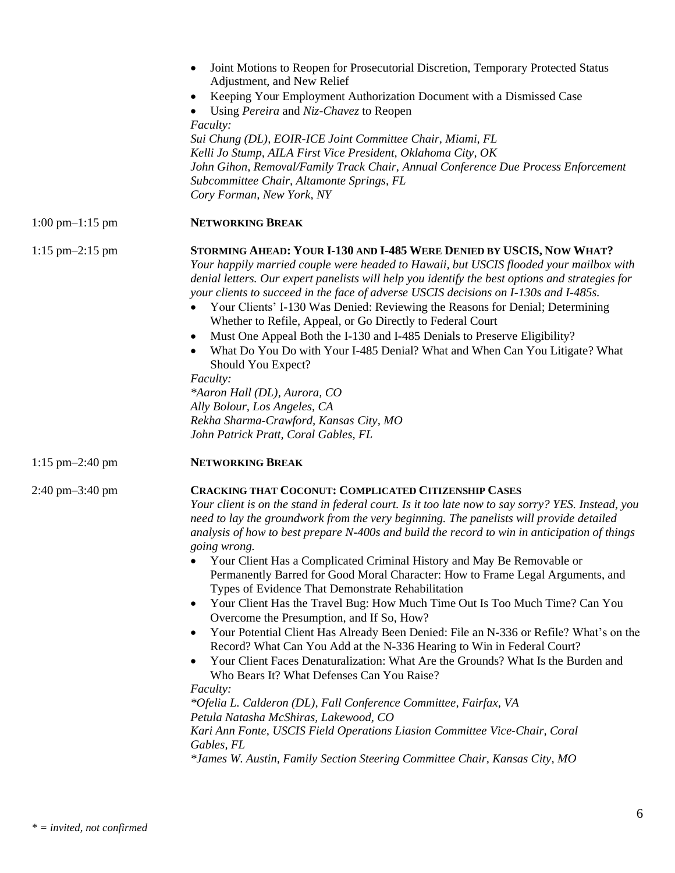|                                     | Joint Motions to Reopen for Prosecutorial Discretion, Temporary Protected Status<br>$\bullet$<br>Adjustment, and New Relief<br>Keeping Your Employment Authorization Document with a Dismissed Case<br>٠<br>Using Pereira and Niz-Chavez to Reopen<br><i>Faculty:</i><br>Sui Chung (DL), EOIR-ICE Joint Committee Chair, Miami, FL<br>Kelli Jo Stump, AILA First Vice President, Oklahoma City, OK<br>John Gihon, Removal/Family Track Chair, Annual Conference Due Process Enforcement<br>Subcommittee Chair, Altamonte Springs, FL<br>Cory Forman, New York, NY                                                                                                                                                                                                                                                                                                                                                                                                                                                                                                                                                                                                                                                                                                                                                                                                     |
|-------------------------------------|-----------------------------------------------------------------------------------------------------------------------------------------------------------------------------------------------------------------------------------------------------------------------------------------------------------------------------------------------------------------------------------------------------------------------------------------------------------------------------------------------------------------------------------------------------------------------------------------------------------------------------------------------------------------------------------------------------------------------------------------------------------------------------------------------------------------------------------------------------------------------------------------------------------------------------------------------------------------------------------------------------------------------------------------------------------------------------------------------------------------------------------------------------------------------------------------------------------------------------------------------------------------------------------------------------------------------------------------------------------------------|
| $1:00 \text{ pm} - 1:15 \text{ pm}$ | <b>NETWORKING BREAK</b>                                                                                                                                                                                                                                                                                                                                                                                                                                                                                                                                                                                                                                                                                                                                                                                                                                                                                                                                                                                                                                                                                                                                                                                                                                                                                                                                               |
| $1:15 \text{ pm} - 2:15 \text{ pm}$ | STORMING AHEAD: YOUR I-130 AND I-485 WERE DENIED BY USCIS, NOW WHAT?<br>Your happily married couple were headed to Hawaii, but USCIS flooded your mailbox with<br>denial letters. Our expert panelists will help you identify the best options and strategies for<br>your clients to succeed in the face of adverse USCIS decisions on I-130s and I-485s.<br>Your Clients' I-130 Was Denied: Reviewing the Reasons for Denial; Determining<br>Whether to Refile, Appeal, or Go Directly to Federal Court<br>Must One Appeal Both the I-130 and I-485 Denials to Preserve Eligibility?<br>٠<br>What Do You Do with Your I-485 Denial? What and When Can You Litigate? What<br>Should You Expect?<br>Faculty:<br>*Aaron Hall (DL), Aurora, CO<br>Ally Bolour, Los Angeles, CA<br>Rekha Sharma-Crawford, Kansas City, MO<br>John Patrick Pratt, Coral Gables, FL                                                                                                                                                                                                                                                                                                                                                                                                                                                                                                         |
| $1:15 \text{ pm} - 2:40 \text{ pm}$ | <b>NETWORKING BREAK</b>                                                                                                                                                                                                                                                                                                                                                                                                                                                                                                                                                                                                                                                                                                                                                                                                                                                                                                                                                                                                                                                                                                                                                                                                                                                                                                                                               |
| $2:40 \text{ pm} - 3:40 \text{ pm}$ | <b>CRACKING THAT COCONUT: COMPLICATED CITIZENSHIP CASES</b><br>Your client is on the stand in federal court. Is it too late now to say sorry? YES. Instead, you<br>need to lay the groundwork from the very beginning. The panelists will provide detailed<br>analysis of how to best prepare N-400s and build the record to win in anticipation of things<br><i>going wrong.</i><br>Your Client Has a Complicated Criminal History and May Be Removable or<br>Permanently Barred for Good Moral Character: How to Frame Legal Arguments, and<br>Types of Evidence That Demonstrate Rehabilitation<br>Your Client Has the Travel Bug: How Much Time Out Is Too Much Time? Can You<br>$\bullet$<br>Overcome the Presumption, and If So, How?<br>Your Potential Client Has Already Been Denied: File an N-336 or Refile? What's on the<br>٠<br>Record? What Can You Add at the N-336 Hearing to Win in Federal Court?<br>Your Client Faces Denaturalization: What Are the Grounds? What Is the Burden and<br>$\bullet$<br>Who Bears It? What Defenses Can You Raise?<br>Faculty:<br>*Ofelia L. Calderon (DL), Fall Conference Committee, Fairfax, VA<br>Petula Natasha McShiras, Lakewood, CO<br>Kari Ann Fonte, USCIS Field Operations Liasion Committee Vice-Chair, Coral<br>Gables, FL<br>*James W. Austin, Family Section Steering Committee Chair, Kansas City, MO |